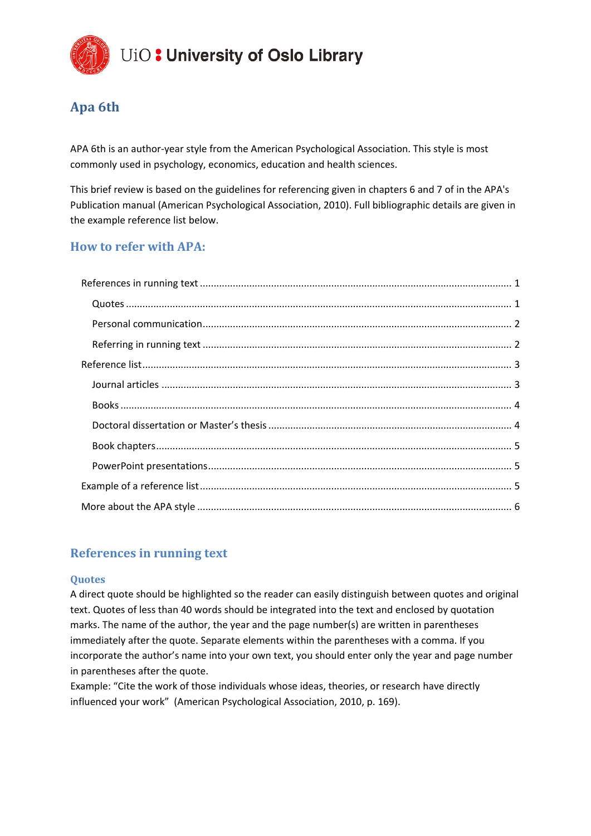

# **Apa 6th**

APA 6th is an author-year style from the American Psychological Association. This style is most commonly used in psychology, economics, education and health sciences.

This brief review is based on the guidelines for referencing given in chapters 6 and 7 of in the APA's Publication manual (American Psychological Association, 2010). Full bibliographic details are given in the example reference list below.

# **How to refer with APA:**

# <span id="page-0-0"></span>**References in running text**

### <span id="page-0-1"></span>**Quotes**

A direct quote should be highlighted so the reader can easily distinguish between quotes and original text. Quotes of less than 40 words should be integrated into the text and enclosed by quotation marks. The name of the author, the year and the page number(s) are written in parentheses immediately after the quote. Separate elements within the parentheses with a comma. If you incorporate the author's name into your own text, you should enter only the year and page number in parentheses after the quote.

Example: "Cite the work of those individuals whose ideas, theories, or research have directly influenced your work" (American Psychological Association, 2010, p. 169).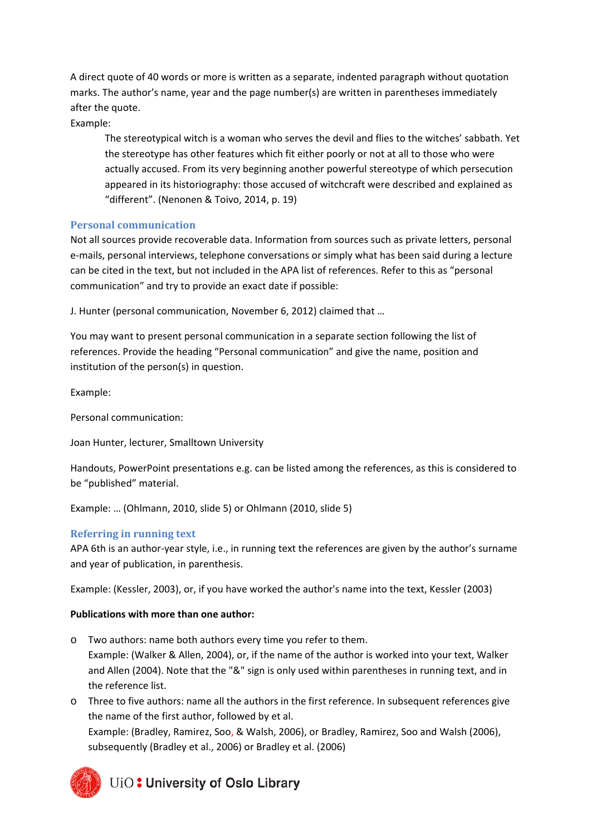A direct quote of 40 words or more is written as a separate, indented paragraph without quotation marks. The author's name, year and the page number(s) are written in parentheses immediately after the quote.

Example:

The stereotypical witch is a woman who serves the devil and flies to the witches' sabbath. Yet the stereotype has other features which fit either poorly or not at all to those who were actually accused. From its very beginning another powerful stereotype of which persecution appeared in its historiography: those accused of witchcraft were described and explained as "different". (Nenonen & Toivo, 2014, p. 19)

## <span id="page-1-0"></span>**Personal communication**

Not all sources provide recoverable data. Information from sources such as private letters, personal e-mails, personal interviews, telephone conversations or simply what has been said during a lecture can be cited in the text, but not included in the APA list of references. Refer to this as "personal communication" and try to provide an exact date if possible:

J. Hunter (personal communication, November 6, 2012) claimed that …

You may want to present personal communication in a separate section following the list of references. Provide the heading "Personal communication" and give the name, position and institution of the person(s) in question.

Example:

Personal communication:

Joan Hunter, lecturer, Smalltown University

Handouts, PowerPoint presentations e.g. can be listed among the references, as this is considered to be "published" material.

Example: … (Ohlmann, 2010, slide 5) or Ohlmann (2010, slide 5)

## <span id="page-1-1"></span>**Referring in running text**

APA 6th is an author-year style, i.e., in running text the references are given by the author's surname and year of publication, in parenthesis.

Example: (Kessler, 2003), or, if you have worked the author's name into the text, Kessler (2003)

## **Publications with more than one author:**

- o Two authors: name both authors every time you refer to them. Example: (Walker & Allen, 2004), or, if the name of the author is worked into your text, Walker and Allen (2004). Note that the "&" sign is only used within parentheses in running text, and in the reference list.
- o Three to five authors: name all the authors in the first reference. In subsequent references give the name of the first author, followed by et al. Example: (Bradley, Ramirez, Soo, & Walsh, 2006), or Bradley, Ramirez, Soo and Walsh (2006), subsequently (Bradley et al., 2006) or Bradley et al. (2006)



# UiO: University of Oslo Library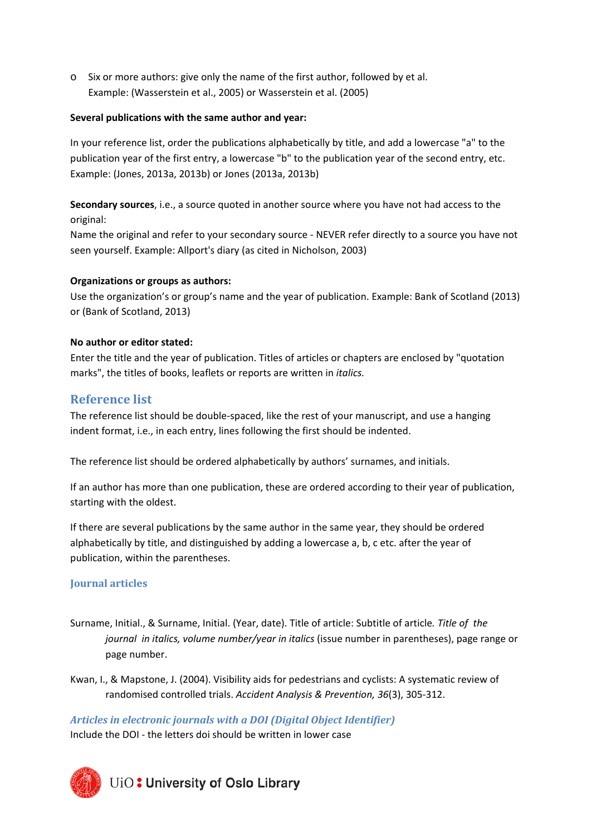o Six or more authors: give only the name of the first author, followed by et al. Example: (Wasserstein et al., 2005) or Wasserstein et al. (2005)

### **Several publications with the same author and year:**

In your reference list, order the publications alphabetically by title, and add a lowercase "a" to the publication year of the first entry, a lowercase "b" to the publication year of the second entry, etc. Example: (Jones, 2013a, 2013b) or Jones (2013a, 2013b)

**Secondary sources**, i.e., a source quoted in another source where you have not had access to the original:

Name the original and refer to your secondary source - NEVER refer directly to a source you have not seen yourself. Example: Allport's diary (as cited in Nicholson, 2003)

## **Organizations or groups as authors:**

Use the organization's or group's name and the year of publication. Example: Bank of Scotland (2013) or (Bank of Scotland, 2013)

## **No author or editor stated:**

Enter the title and the year of publication. Titles of articles or chapters are enclosed by "quotation marks", the titles of books, leaflets or reports are written in *italics.*

# <span id="page-2-0"></span>**Reference list**

The reference list should be double-spaced, like the rest of your manuscript, and use a hanging indent format, i.e., in each entry, lines following the first should be indented.

The reference list should be ordered alphabetically by authors' surnames, and initials.

If an author has more than one publication, these are ordered according to their year of publication, starting with the oldest.

If there are several publications by the same author in the same year, they should be ordered alphabetically by title, and distinguished by adding a lowercase a, b, c etc. after the year of publication, within the parentheses.

## <span id="page-2-1"></span>**Journal articles**

- Surname, Initial., & Surname, Initial. (Year, date). Title of article: Subtitle of article*. Title of the journal in italics, volume number/year in italics* (issue number in parentheses), page range or page number.
- Kwan, I., & Mapstone, J. (2004). Visibility aids for pedestrians and cyclists: A systematic review of randomised controlled trials. *Accident Analysis & Prevention, 36*(3), 305-312.

## *Articles in electronic journals with a DOI (Digital Object Identifier)* Include the DOI - the letters doi should be written in lower case

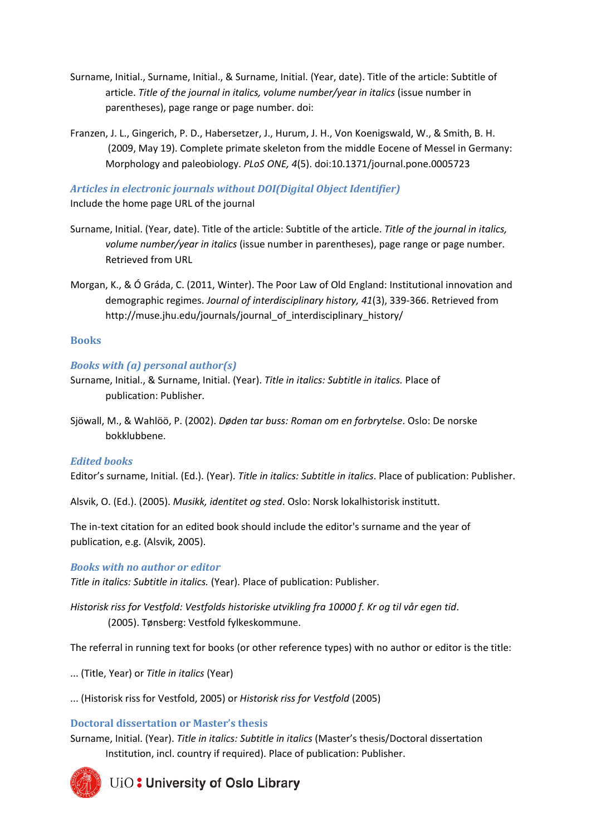- Surname, Initial., Surname, Initial., & Surname, Initial. (Year, date). Title of the article: Subtitle of article. *Title of the journal in italics, volume number/year in italics* (issue number in parentheses), page range or page number. doi:
- Franzen, J. L., Gingerich, P. D., Habersetzer, J., Hurum, J. H., Von Koenigswald, W., & Smith, B. H. (2009, May 19). Complete primate skeleton from the middle Eocene of Messel in Germany: Morphology and paleobiology. *PLoS ONE, 4*(5). doi:10.1371/journal.pone.0005723

*Articles in electronic journals without DOI(Digital Object Identifier)* Include the home page URL of the journal

- Surname, Initial. (Year, date). Title of the article: Subtitle of the article. *Title of the journal in italics, volume number/year in italics* (issue number in parentheses), page range or page number. Retrieved from URL
- Morgan, K., & Ó Gráda, C. (2011, Winter). The Poor Law of Old England: Institutional innovation and demographic regimes. *Journal of interdisciplinary history, 41*(3), 339-366. Retrieved from http://muse.jhu.edu/journals/journal\_of\_interdisciplinary\_history/

### <span id="page-3-0"></span>**Books**

### *Books with (a) personal author(s)*

- Surname, Initial., & Surname, Initial. (Year). *Title in italics: Subtitle in italics.* Place of publication: Publisher.
- Sjöwall, M., & Wahlöö, P. (2002). *Døden tar buss: Roman om en forbrytelse*. Oslo: De norske bokklubbene.

### *Edited books*

Editor's surname, Initial. (Ed.). (Year). *Title in italics: Subtitle in italics*. Place of publication: Publisher.

Alsvik, O. (Ed.). (2005). *Musikk, identitet og sted*. Oslo: Norsk lokalhistorisk institutt.

The in-text citation for an edited book should include the editor's surname and the year of publication, e.g. (Alsvik, 2005).

### *Books with no author or editor*

*Title in italics: Subtitle in italics.* (Year). Place of publication: Publisher.

*Historisk riss for Vestfold: Vestfolds historiske utvikling fra 10000 f. Kr og til vår egen tid*. (2005). Tønsberg: Vestfold fylkeskommune.

The referral in running text for books (or other reference types) with no author or editor is the title:

- ... (Title, Year) or *Title in italics* (Year)
- ... (Historisk riss for Vestfold, 2005) or *Historisk riss for Vestfold* (2005)

## <span id="page-3-1"></span>**Doctoral dissertation or Master's thesis**

Surname, Initial. (Year). *Title in italics: Subtitle in italics* (Master's thesis/Doctoral dissertation Institution, incl. country if required). Place of publication: Publisher.



UiO: University of Oslo Library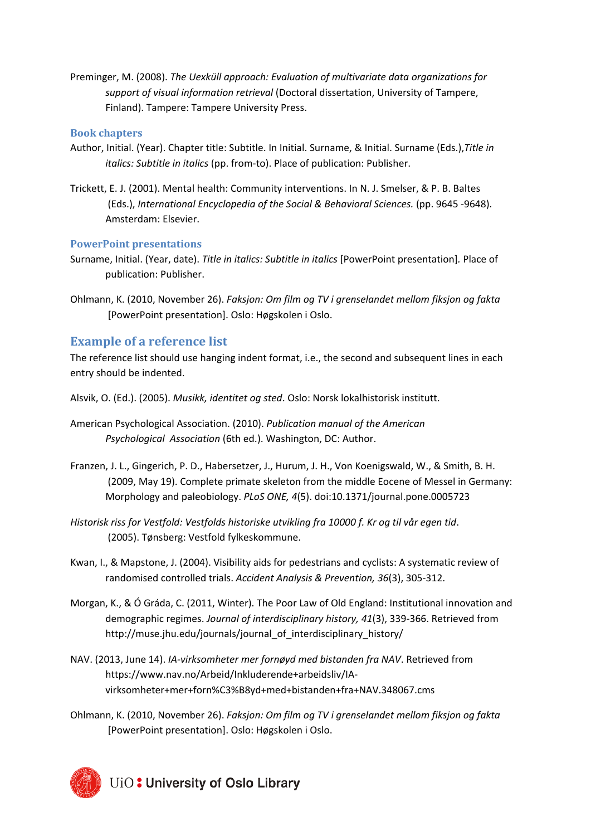Preminger, M. (2008). *The Uexküll approach: Evaluation of multivariate data organizations for support of visual information retrieval* (Doctoral dissertation, University of Tampere, Finland). Tampere: Tampere University Press.

#### <span id="page-4-0"></span>**Book chapters**

- Author, Initial. (Year). Chapter title: Subtitle. In Initial. Surname, & Initial. Surname (Eds.),*Title in italics: Subtitle in italics* (pp. from-to). Place of publication: Publisher.
- Trickett, E. J. (2001). Mental health: Community interventions. In N. J. Smelser, & P. B. Baltes (Eds.), *International Encyclopedia of the Social & Behavioral Sciences.* (pp. 9645 -9648). Amsterdam: Elsevier.

#### <span id="page-4-1"></span>**PowerPoint presentations**

- Surname, Initial. (Year, date). *Title in italics: Subtitle in italics* [PowerPoint presentation]*.* Place of publication: Publisher.
- Ohlmann, K. (2010, November 26). *Faksjon: Om film og TV i grenselandet mellom fiksjon og fakta* [PowerPoint presentation]. Oslo: Høgskolen i Oslo.

## <span id="page-4-2"></span>**Example of a reference list**

The reference list should use hanging indent format, i.e., the second and subsequent lines in each entry should be indented.

- Alsvik, O. (Ed.). (2005). *Musikk, identitet og sted*. Oslo: Norsk lokalhistorisk institutt.
- American Psychological Association. (2010). *Publication manual of the American Psychological Association* (6th ed.). Washington, DC: Author.
- Franzen, J. L., Gingerich, P. D., Habersetzer, J., Hurum, J. H., Von Koenigswald, W., & Smith, B. H. (2009, May 19). Complete primate skeleton from the middle Eocene of Messel in Germany: Morphology and paleobiology. *PLoS ONE, 4*(5). doi:10.1371/journal.pone.0005723
- *Historisk riss for Vestfold: Vestfolds historiske utvikling fra 10000 f. Kr og til vår egen tid*. (2005). Tønsberg: Vestfold fylkeskommune.
- Kwan, I., & Mapstone, J. (2004). Visibility aids for pedestrians and cyclists: A systematic review of randomised controlled trials. *Accident Analysis & Prevention, 36*(3), 305-312.
- Morgan, K., & Ó Gráda, C. (2011, Winter). The Poor Law of Old England: Institutional innovation and demographic regimes. *Journal of interdisciplinary history, 41*(3), 339-366. Retrieved from http://muse.jhu.edu/journals/journal\_of\_interdisciplinary\_history/
- NAV. (2013, June 14). *IA-virksomheter mer fornøyd med bistanden fra NAV*. Retrieved from [https://www.nav.no/Arbeid/Inkluderende+arbeidsliv/IA](https://www.nav.no/Arbeid/Inkluderende+arbeidsliv/IA-)virksomheter+mer+forn%C3%B8yd+med+bistanden+fra+NAV.348067.cms
- Ohlmann, K. (2010, November 26). *Faksjon: Om film og TV i grenselandet mellom fiksjon og fakta* [PowerPoint presentation]. Oslo: Høgskolen i Oslo.

UiO: University of Oslo Library